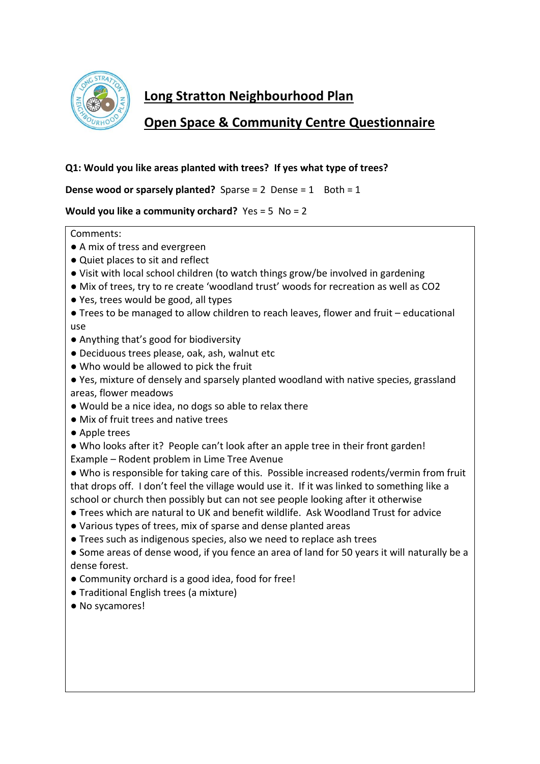

# **Long Stratton Neighbourhood Plan**

# **Open Space & Community Centre Questionnaire**

## **Q1: Would you like areas planted with trees? If yes what type of trees?**

**Dense wood or sparsely planted?** Sparse = 2 Dense = 1 Both = 1

## **Would you like a community orchard?** Yes = 5 No = 2

- A mix of tress and evergreen
- Quiet places to sit and reflect
- Visit with local school children (to watch things grow/be involved in gardening
- Mix of trees, try to re create 'woodland trust' woods for recreation as well as CO2
- Yes, trees would be good, all types
- Trees to be managed to allow children to reach leaves, flower and fruit educational use
- Anything that's good for biodiversity
- Deciduous trees please, oak, ash, walnut etc
- Who would be allowed to pick the fruit
- Yes, mixture of densely and sparsely planted woodland with native species, grassland areas, flower meadows
- Would be a nice idea, no dogs so able to relax there
- Mix of fruit trees and native trees
- Apple trees
- Who looks after it? People can't look after an apple tree in their front garden! Example – Rodent problem in Lime Tree Avenue
- Who is responsible for taking care of this. Possible increased rodents/vermin from fruit that drops off. I don't feel the village would use it. If it was linked to something like a school or church then possibly but can not see people looking after it otherwise
- Trees which are natural to UK and benefit wildlife. Ask Woodland Trust for advice
- Various types of trees, mix of sparse and dense planted areas
- Trees such as indigenous species, also we need to replace ash trees
- Some areas of dense wood, if you fence an area of land for 50 years it will naturally be a dense forest.
- Community orchard is a good idea, food for free!
- Traditional English trees (a mixture)
- No sycamores!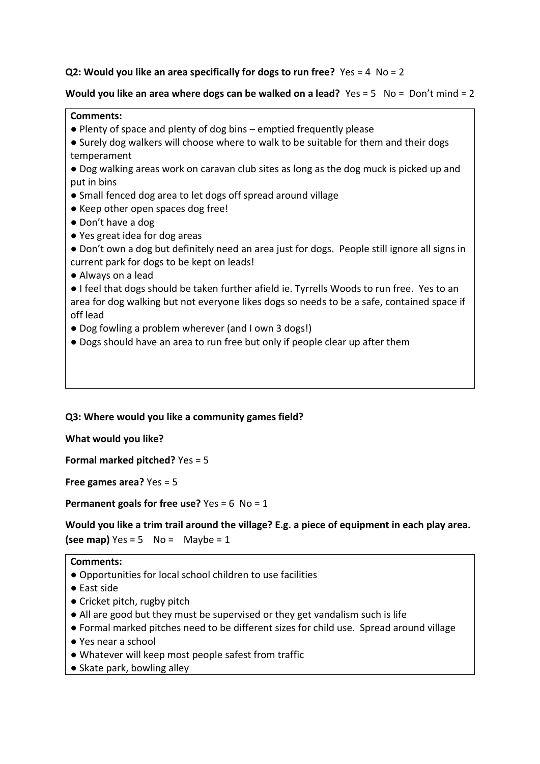## **Q2: Would you like an area specifically for dogs to run free?** Yes = 4 No = 2

## **Would you like an area where dogs can be walked on a lead?** Yes = 5 No = Don't mind = 2

#### **Comments:**

- Plenty of space and plenty of dog bins emptied frequently please
- Surely dog walkers will choose where to walk to be suitable for them and their dogs temperament

● Dog walking areas work on caravan club sites as long as the dog muck is picked up and put in bins

- Small fenced dog area to let dogs off spread around village
- Keep other open spaces dog free!
- Don't have a dog
- Yes great idea for dog areas

● Don't own a dog but definitely need an area just for dogs. People still ignore all signs in current park for dogs to be kept on leads!

● Always on a lead

● I feel that dogs should be taken further afield ie. Tyrrells Woods to run free. Yes to an area for dog walking but not everyone likes dogs so needs to be a safe, contained space if off lead

- Dog fowling a problem wherever (and I own 3 dogs!)
- Dogs should have an area to run free but only if people clear up after them

### **Q3: Where would you like a community games field?**

**What would you like?** 

**Formal marked pitched?** Yes = 5

**Free games area?** Yes = 5

**Permanent goals for free use?** Yes = 6 No = 1

**Would you like a trim trail around the village? E.g. a piece of equipment in each play area. (see map)** Yes = 5  $\sqrt{ }$  No = Maybe = 1

- **●** Opportunities for local school children to use facilities
- East side
- Cricket pitch, rugby pitch
- **●** All are good but they must be supervised or they get vandalism such is life
- Formal marked pitches need to be different sizes for child use. Spread around village ● Yes near a school
- 
- Whatever will keep most people safest from traffic
- Skate park, bowling alley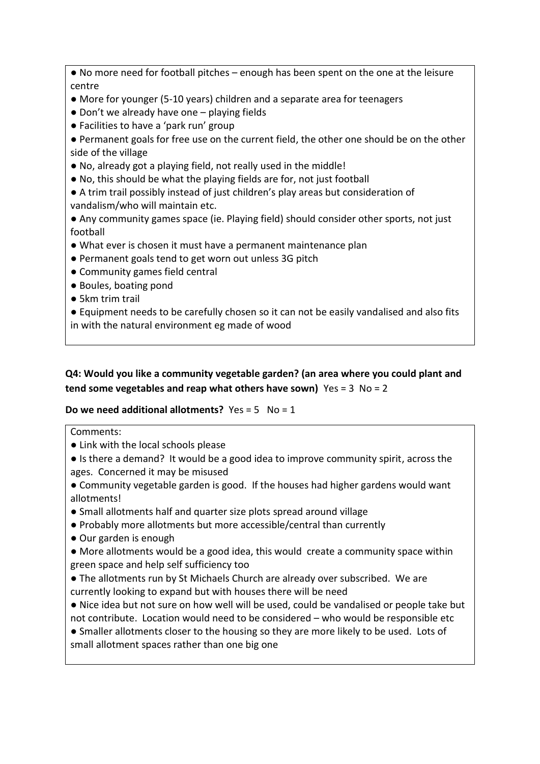● No more need for football pitches – enough has been spent on the one at the leisure centre

- More for younger (5-10 years) children and a separate area for teenagers
- Don't we already have one playing fields
- Facilities to have a 'park run' group

● Permanent goals for free use on the current field, the other one should be on the other side of the village

- No, already got a playing field, not really used in the middle!
- No, this should be what the playing fields are for, not just football

● A trim trail possibly instead of just children's play areas but consideration of vandalism/who will maintain etc.

● Any community games space (ie. Playing field) should consider other sports, not just football

- What ever is chosen it must have a permanent maintenance plan
- Permanent goals tend to get worn out unless 3G pitch
- Community games field central
- Boules, boating pond
- 5km trim trail

● Equipment needs to be carefully chosen so it can not be easily vandalised and also fits in with the natural environment eg made of wood

**Q4: Would you like a community vegetable garden? (an area where you could plant and tend some vegetables and reap what others have sown)** Yes = 3 No = 2

## **Do we need additional allotments?** Yes = 5 No = 1

- Link with the local schools please
- Is there a demand? It would be a good idea to improve community spirit, across the ages. Concerned it may be misused
- Community vegetable garden is good. If the houses had higher gardens would want allotments!
- Small allotments half and quarter size plots spread around village
- Probably more allotments but more accessible/central than currently
- Our garden is enough
- More allotments would be a good idea, this would create a community space within green space and help self sufficiency too
- The allotments run by St Michaels Church are already over subscribed. We are currently looking to expand but with houses there will be need
- Nice idea but not sure on how well will be used, could be vandalised or people take but not contribute. Location would need to be considered – who would be responsible etc
- Smaller allotments closer to the housing so they are more likely to be used. Lots of small allotment spaces rather than one big one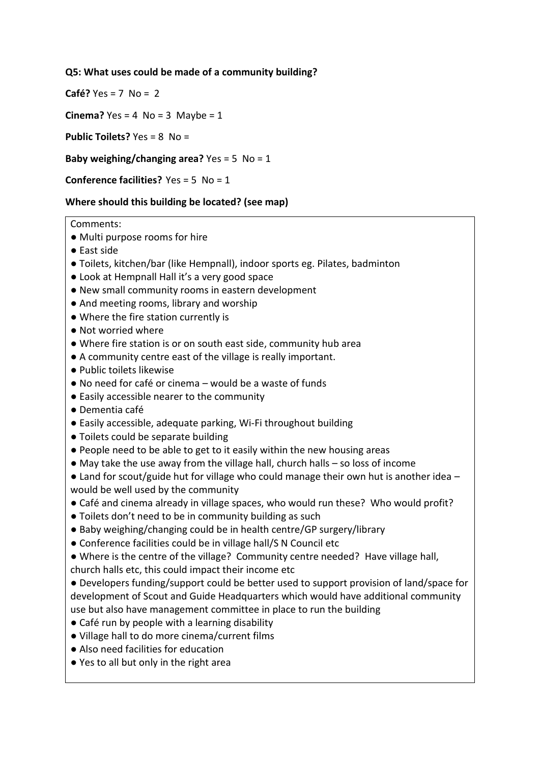## **Q5: What uses could be made of a community building?**

**Café?** Yes = 7 No = 2

**Cinema?** Yes = 4  $No = 3$  Maybe = 1

**Public Toilets?** Yes = 8 No =

**Baby weighing/changing area?** Yes = 5 No = 1

**Conference facilities?** Yes = 5 No = 1

### **Where should this building be located? (see map)**

- **●** Multi purpose rooms for hire
- East side
- Toilets, kitchen/bar (like Hempnall), indoor sports eg. Pilates, badminton
- Look at Hempnall Hall it's a very good space
- New small community rooms in eastern development
- And meeting rooms, library and worship
- Where the fire station currently is
- Not worried where
- Where fire station is or on south east side, community hub area
- A community centre east of the village is really important.
- Public toilets likewise
- $\bullet$  No need for café or cinema would be a waste of funds
- Easily accessible nearer to the community
- Dementia café
- Easily accessible, adequate parking, Wi-Fi throughout building
- Toilets could be separate building
- People need to be able to get to it easily within the new housing areas
- $\bullet$  May take the use away from the village hall, church halls so loss of income
- $\bullet$  Land for scout/guide hut for village who could manage their own hut is another idea would be well used by the community
- Café and cinema already in village spaces, who would run these? Who would profit?
- Toilets don't need to be in community building as such
- Baby weighing/changing could be in health centre/GP surgery/library
- Conference facilities could be in village hall/S N Council etc
- Where is the centre of the village? Community centre needed? Have village hall, church halls etc, this could impact their income etc
- Developers funding/support could be better used to support provision of land/space for development of Scout and Guide Headquarters which would have additional community use but also have management committee in place to run the building
- Café run by people with a learning disability
- Village hall to do more cinema/current films
- Also need facilities for education
- Yes to all but only in the right area